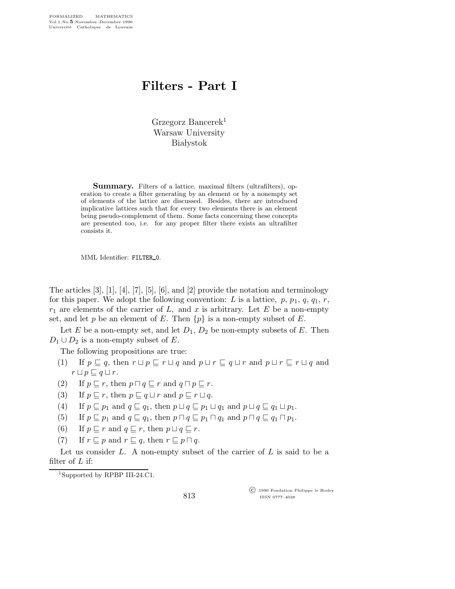## Filters - Part I

Grzegorz Bancerek<sup>1</sup> Warsaw University **Białystok** 

Summary. Filters of a lattice, maximal filters (ultrafilters), operation to create a filter generating by an element or by a nonempty set of elements of the lattice are discussed. Besides, there are introduced implicative lattices such that for every two elements there is an element being pseudo-complement of them. Some facts concerning these concepts are presented too, i.e. for any proper filter there exists an ultrafilter consists it.

MML Identifier: FILTER\_0.

The articles  $[3]$ ,  $[1]$ ,  $[4]$ ,  $[7]$ ,  $[5]$ ,  $[6]$ , and  $[2]$  provide the notation and terminology for this paper. We adopt the following convention: L is a lattice,  $p, p_1, q, q_1, r$ ,  $r_1$  are elements of the carrier of L, and x is arbitrary. Let E be a non-empty set, and let p be an element of E. Then  $\{p\}$  is a non-empty subset of E.

Let E be a non-empty set, and let  $D_1$ ,  $D_2$  be non-empty subsets of E. Then  $D_1 \cup D_2$  is a non-empty subset of E.

The following propositions are true:

- (1) If  $p \sqsubseteq q$ , then  $r \sqcup p \sqsubseteq r \sqcup q$  and  $p \sqcup r \sqsubseteq q \sqcup r$  and  $p \sqcup r \sqsubseteq r \sqcup q$  and  $r \sqcup p \sqsubseteq q \sqcup r$ .
- (2) If  $p \sqsubseteq r$ , then  $p \sqcap q \sqsubseteq r$  and  $q \sqcap p \sqsubseteq r$ .
- (3) If  $p \sqsubseteq r$ , then  $p \sqsubseteq q \sqcup r$  and  $p \sqsubseteq r \sqcup q$ .
- (4) If  $p \sqsubseteq p_1$  and  $q \sqsubseteq q_1$ , then  $p \sqcup q \sqsubseteq p_1 \sqcup q_1$  and  $p \sqcup q \sqsubseteq q_1 \sqcup p_1$ .
- (5) If  $p \sqsubseteq p_1$  and  $q \sqsubseteq q_1$ , then  $p \sqcap q \sqsubseteq p_1 \sqcap q_1$  and  $p \sqcap q \sqsubseteq q_1 \sqcap p_1$ .
- (6) If  $p \sqsubseteq r$  and  $q \sqsubseteq r$ , then  $p \sqcup q \sqsubseteq r$ .
- (7) If  $r \sqsubseteq p$  and  $r \sqsubseteq q$ , then  $r \sqsubseteq p \sqcap q$ .

Let us consider L. A non-empty subset of the carrier of  $L$  is said to be a filter of  $L$  if:

<sup>1</sup>Supported by RPBP III-24.C1.

813

 c 1990 Fondation Philippe le Hodey ISSN 0777–4028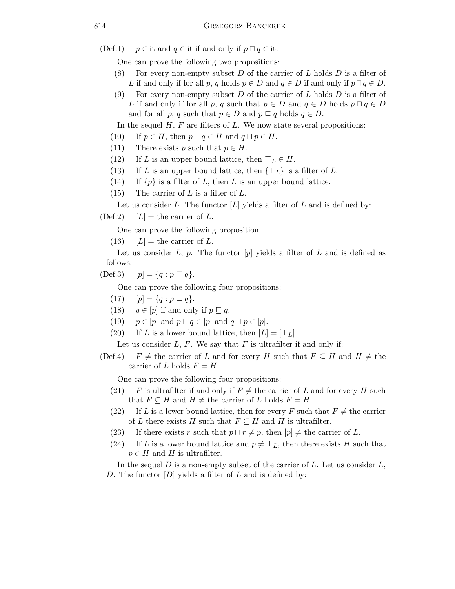(Def.1)  $p \in \text{it}$  and  $q \in \text{it}$  if and only if  $p \sqcap q \in \text{it}$ .

One can prove the following two propositions:

- (8) For every non-empty subset  $D$  of the carrier of  $L$  holds  $D$  is a filter of L if and only if for all p, q holds  $p \in D$  and  $q \in D$  if and only if  $p \sqcap q \in D$ .
- (9) For every non-empty subset D of the carrier of L holds D is a filter of L if and only if for all p, q such that  $p \in D$  and  $q \in D$  holds  $p \cap q \in D$ and for all p, q such that  $p \in D$  and  $p \subseteq q$  holds  $q \in D$ .

In the sequel  $H$ ,  $F$  are filters of  $L$ . We now state several propositions:

- (10) If  $p \in H$ , then  $p \sqcup q \in H$  and  $q \sqcup p \in H$ .
- (11) There exists p such that  $p \in H$ .
- (12) If L is an upper bound lattice, then  $\top_L \in H$ .
- (13) If L is an upper bound lattice, then  $\{\top_L\}$  is a filter of L.
- (14) If  $\{p\}$  is a filter of L, then L is an upper bound lattice.
- $(15)$  The carrier of L is a filter of L.

Let us consider L. The functor  $[L]$  yields a filter of L and is defined by:

 $(Def.2)$   $[L] =$  the carrier of L.

One can prove the following proposition

(16)  $[L] =$  the carrier of L.

Let us consider L, p. The functor  $[p]$  yields a filter of L and is defined as follows:

(Def.3)  $[p] = \{q : p \sqsubseteq q\}.$ 

One can prove the following four propositions:

- (17)  $[p] = \{q : p \sqsubseteq q\}.$
- (18)  $q \in [p]$  if and only if  $p \sqsubseteq q$ .
- (19)  $p \in [p]$  and  $p \sqcup q \in [p]$  and  $q \sqcup p \in [p]$ .
- (20) If L is a lower bound lattice, then  $[L] = [\perp_L]$ .

Let us consider  $L, F$ . We say that  $F$  is ultrafilter if and only if:

(Def.4)  $F \neq$  the carrier of L and for every H such that  $F \subseteq H$  and  $H \neq$  the carrier of L holds  $F = H$ .

One can prove the following four propositions:

- (21) F is ultrafilter if and only if  $F \neq$  the carrier of L and for every H such that  $F \subseteq H$  and  $H \neq$  the carrier of L holds  $F = H$ .
- (22) If L is a lower bound lattice, then for every F such that  $F \neq$  the carrier of L there exists H such that  $F \subseteq H$  and H is ultrafilter.
- (23) If there exists r such that  $p \sqcap r \neq p$ , then  $[p] \neq$  the carrier of L.
- (24) If L is a lower bound lattice and  $p \neq \perp_L$ , then there exists H such that  $p \in H$  and H is ultrafilter.

In the sequel  $D$  is a non-empty subset of the carrier of  $L$ . Let us consider  $L$ , D. The functor  $[D]$  yields a filter of L and is defined by: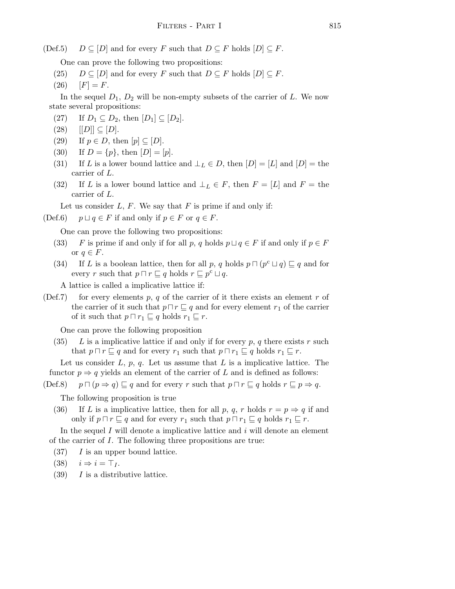$(Def.5)$   $D \subseteq [D]$  and for every F such that  $D \subseteq F$  holds  $[D] \subseteq F$ .

One can prove the following two propositions:

- (25)  $D \subseteq [D]$  and for every F such that  $D \subseteq F$  holds  $[D] \subseteq F$ .
- $(26)$   $[F] = F.$

In the sequel  $D_1, D_2$  will be non-empty subsets of the carrier of L. We now state several propositions:

- (27) If  $D_1 \subseteq D_2$ , then  $[D_1] \subseteq [D_2]$ .
- $(28)$   $[|D|] \subseteq [D].$
- (29) If  $p \in D$ , then  $[p] \subseteq [D]$ .
- (30) If  $D = \{p\}$ , then  $[D] = [p]$ .
- (31) If L is a lower bound lattice and  $\bot_L \in D$ , then  $[D] = [L]$  and  $[D] =$  the carrier of L.
- (32) If L is a lower bound lattice and  $\bot_L \in F$ , then  $F = [L]$  and  $F =$  the carrier of L.

Let us consider  $L, F$ . We say that F is prime if and only if:

(Def.6)  $p \sqcup q \in F$  if and only if  $p \in F$  or  $q \in F$ .

One can prove the following two propositions:

- (33) F is prime if and only if for all p, q holds  $p \sqcup q \in F$  if and only if  $p \in F$ or  $q \in F$ .
- (34) If L is a boolean lattice, then for all p, q holds  $p \sqcap (p^c \sqcup q) \sqsubseteq q$  and for every r such that  $p \sqcap r \sqsubseteq q$  holds  $r \sqsubseteq p^c \sqcup q$ .

A lattice is called a implicative lattice if:

(Def.7) for every elements p, q of the carrier of it there exists an element r of the carrier of it such that  $p \sqcap r \sqsubseteq q$  and for every element  $r_1$  of the carrier of it such that  $p \sqcap r_1 \sqsubseteq q$  holds  $r_1 \sqsubseteq r$ .

One can prove the following proposition

(35) L is a implicative lattice if and only if for every p, q there exists r such that  $p \sqcap r \sqsubseteq q$  and for every  $r_1$  such that  $p \sqcap r_1 \sqsubseteq q$  holds  $r_1 \sqsubseteq r$ .

Let us consider  $L, p, q$ . Let us assume that  $L$  is a implicative lattice. The functor  $p \Rightarrow q$  yields an element of the carrier of L and is defined as follows:

 $(Def.8)$  p  $\Box$   $(p \Rightarrow q) \sqsubseteq q$  and for every r such that  $p \sqcap r \sqsubseteq q$  holds  $r \sqsubseteq p \Rightarrow q$ .

The following proposition is true

(36) If L is a implicative lattice, then for all p, q, r holds  $r = p \Rightarrow q$  if and only if  $p \sqcap r \sqsubseteq q$  and for every  $r_1$  such that  $p \sqcap r_1 \sqsubseteq q$  holds  $r_1 \sqsubseteq r$ .

In the sequel  $I$  will denote a implicative lattice and  $i$  will denote an element of the carrier of I. The following three propositions are true:

 $(37)$  I is an upper bound lattice.

 $(38)$   $i \Rightarrow i = \top_I$ .

 $(39)$  I is a distributive lattice.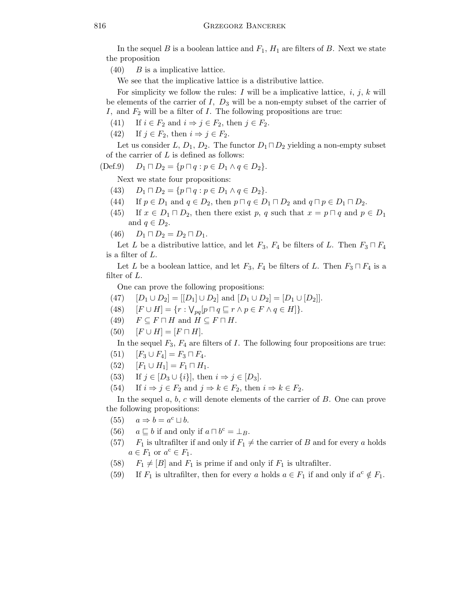In the sequel B is a boolean lattice and  $F_1$ ,  $H_1$  are filters of B. Next we state the proposition

 $(40)$  B is a implicative lattice.

We see that the implicative lattice is a distributive lattice.

For simplicity we follow the rules: I will be a implicative lattice, i, j, k will be elements of the carrier of  $I, D_3$  will be a non-empty subset of the carrier of I, and  $F_2$  will be a filter of I. The following propositions are true:

- (41) If  $i \in F_2$  and  $i \Rightarrow j \in F_2$ , then  $j \in F_2$ .
- (42) If  $j \in F_2$ , then  $i \Rightarrow j \in F_2$ .

Let us consider L,  $D_1$ ,  $D_2$ . The functor  $D_1 \sqcap D_2$  yielding a non-empty subset of the carrier of  $L$  is defined as follows:

$$
(Def.9) \t D_1 \sqcap D_2 = \{ p \sqcap q : p \in D_1 \land q \in D_2 \}.
$$

Next we state four propositions:

- (43)  $D_1 \sqcap D_2 = \{p \sqcap q : p \in D_1 \land q \in D_2\}.$
- (44) If  $p \in D_1$  and  $q \in D_2$ , then  $p \sqcap q \in D_1 \sqcap D_2$  and  $q \sqcap p \in D_1 \sqcap D_2$ .
- (45) If  $x \in D_1 \sqcap D_2$ , then there exist p, q such that  $x = p \sqcap q$  and  $p \in D_1$ and  $q \in D_2$ .
- $(46)$   $D_1 \sqcap D_2 = D_2 \sqcap D_1$ .

Let L be a distributive lattice, and let  $F_3$ ,  $F_4$  be filters of L. Then  $F_3 \sqcap F_4$ is a filter of L.

Let L be a boolean lattice, and let  $F_3$ ,  $F_4$  be filters of L. Then  $F_3 \sqcap F_4$  is a filter of L.

One can prove the following propositions:

- (47)  $[D_1 \cup D_2] = [[D_1] \cup D_2]$  and  $[D_1 \cup D_2] = [D_1 \cup [D_2]]$ .
- (48)  $[F \cup H] = \{r : \bigvee_{pq} [p \sqcap q \sqsubseteq r \land p \in F \land q \in H] \}.$
- (49)  $F \subseteq F \sqcap H$  and  $H \subseteq F \sqcap H$ .
- $(50)$   $[F \cup H] = [F \cap H].$

In the sequel  $F_3, F_4$  are filters of I. The following four propositions are true:

- (51)  $[F_3 \cup F_4] = F_3 \cap F_4.$
- (52)  $[F_1 \cup H_1] = F_1 \sqcap H_1.$
- (53) If  $j \in [D_3 \cup \{i\}],$  then  $i \Rightarrow j \in [D_3]$ .
- (54) If  $i \Rightarrow j \in F_2$  and  $j \Rightarrow k \in F_2$ , then  $i \Rightarrow k \in F_2$ .

In the sequel  $a, b, c$  will denote elements of the carrier of  $B$ . One can prove the following propositions:

- (55)  $a \Rightarrow b = a^c \sqcup b$ .
- (56)  $a \sqsubseteq b$  if and only if  $a \sqcap b^c = \perp_B$ .
- (57)  $F_1$  is ultrafilter if and only if  $F_1 \neq$  the carrier of B and for every a holds  $a \in F_1$  or  $a^c \in F_1$ .
- (58)  $F_1 \neq [B]$  and  $F_1$  is prime if and only if  $F_1$  is ultrafilter.
- (59) If  $F_1$  is ultrafilter, then for every a holds  $a \in F_1$  if and only if  $a^c \notin F_1$ .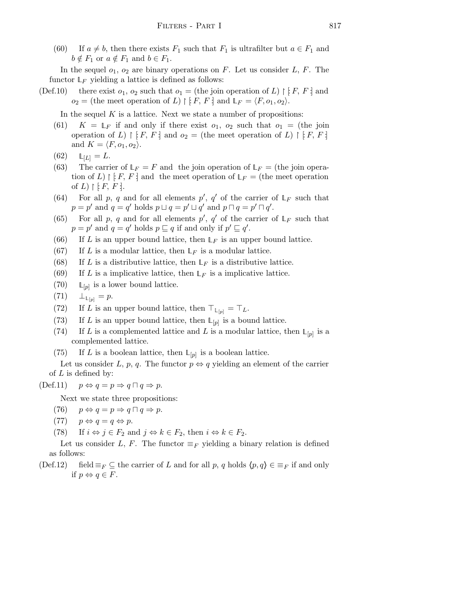(60) If  $a \neq b$ , then there exists  $F_1$  such that  $F_1$  is ultrafilter but  $a \in F_1$  and  $b \notin F_1$  or  $a \notin F_1$  and  $b \in F_1$ .

In the sequel  $o_1$ ,  $o_2$  are binary operations on F. Let us consider L, F. The functor  $\mathbb{L}_F$  yielding a lattice is defined as follows:

- (Def.10) there exist  $o_1$ ,  $o_2$  such that  $o_1 =$  (the join operation of L)  $\upharpoonright$  [F, F ] and  $o_2 =$  (the meet operation of L)  $\upharpoonright F, F$  and  $\mathbb{L}_F = \langle F, o_1, o_2 \rangle$ .
	- In the sequel  $K$  is a lattice. Next we state a number of propositions:
	- (61)  $K = \mathbb{L}_F$  if and only if there exist  $o_1$ ,  $o_2$  such that  $o_1 =$  (the join operation of L)  $\restriction$  [F, F ] and  $o_2$  = (the meet operation of L)  $\restriction$  [F, F ] and  $K = \langle F, o_1, o_2 \rangle$ .

$$
(62) \qquad \mathbb{L}_{[L]} = L.
$$

- (63) The carrier of  $L_F = F$  and the join operation of  $L_F =$  (the join operation of L) |  $[F, F]$  and the meet operation of  $\mathbb{L}_F =$  (the meet operation of  $L$ )  $\upharpoonright$  [ $F, F$ ].
- (64) For all p, q and for all elements p', q' of the carrier of  $L_F$  such that  $p = p'$  and  $q = q'$  holds  $p \sqcup q = p' \sqcup q'$  and  $p \sqcap q = p' \sqcap q'$ .
- (65) For all p, q and for all elements p', q' of the carrier of  $L_F$  such that  $p = p'$  and  $q = q'$  holds  $p \sqsubseteq q$  if and only if  $p' \sqsubseteq q'$ .
- (66) If L is an upper bound lattice, then  $\mathbb{L}_F$  is an upper bound lattice.
- (67) If L is a modular lattice, then  $\mathbb{L}_F$  is a modular lattice.
- (68) If L is a distributive lattice, then  $\mathbb{L}_F$  is a distributive lattice.
- (69) If L is a implicative lattice, then  $\mathbb{L}_F$  is a implicative lattice.
- $(70)$  $\mathbb{L}_{[p]}$  is a lower bound lattice.
- $(71)$  $_{[p]} = p.$
- (72) If L is an upper bound lattice, then  $\top_{\mathbb{L}_{[p]}} = \top_L$ .
- (73) If L is an upper bound lattice, then  $\mathbb{L}_{[p]}$  is a bound lattice.
- (74) If L is a complemented lattice and L is a modular lattice, then  $\mathbb{L}_{[p]}$  is a complemented lattice.
- (75) If L is a boolean lattice, then  $\mathbb{L}_{[p]}$  is a boolean lattice.

Let us consider L, p, q. The functor  $p \Leftrightarrow q$  yielding an element of the carrier of  $L$  is defined by:

 $(\text{Def.11}) \quad p \Leftrightarrow q = p \Rightarrow q \sqcap q \Rightarrow p.$ 

Next we state three propositions:

- $(76)$   $p \Leftrightarrow q = p \Rightarrow q \sqcap q \Rightarrow p$ .
- (77)  $p \Leftrightarrow q = q \Leftrightarrow p$ .
- (78) If  $i \Leftrightarrow j \in F_2$  and  $j \Leftrightarrow k \in F_2$ , then  $i \Leftrightarrow k \in F_2$ .

Let us consider L, F. The functor  $\equiv_F$  yielding a binary relation is defined as follows:

(Def.12) field  $\equiv_F \subseteq$  the carrier of L and for all p, q holds  $\langle p,q \rangle \in \equiv_F$  if and only if  $p \Leftrightarrow q \in F$ .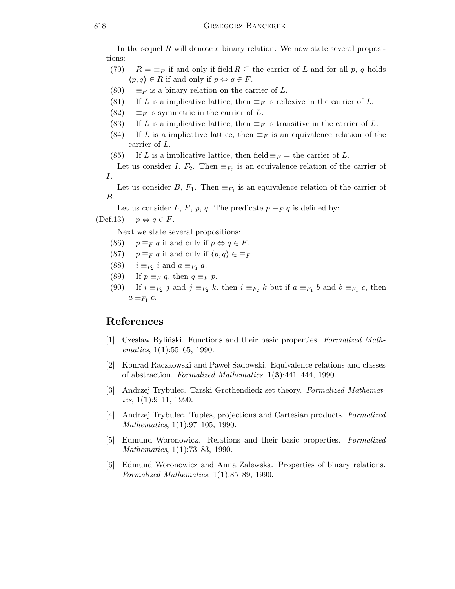In the sequel  $R$  will denote a binary relation. We now state several propositions:

- (79)  $R = \equiv_F$  if and only if field  $R \subseteq$  the carrier of L and for all p, q holds  $\langle p,q \rangle \in R$  if and only if  $p \Leftrightarrow q \in F$ .
- (80)  $\equiv_F$  is a binary relation on the carrier of L.
- (81) If L is a implicative lattice, then  $\equiv_F$  is reflexive in the carrier of L.
- (82)  $\equiv_F$  is symmetric in the carrier of L.
- (83) If L is a implicative lattice, then  $\equiv_F$  is transitive in the carrier of L.
- (84) If L is a implicative lattice, then  $\equiv_F$  is an equivalence relation of the carrier of L.
- (85) If L is a implicative lattice, then field  $\equiv_F =$  the carrier of L.

Let us consider I,  $F_2$ . Then  $\equiv_{F_2}$  is an equivalence relation of the carrier of I.

Let us consider B,  $F_1$ . Then  $\equiv_{F_1}$  is an equivalence relation of the carrier of B.

Let us consider L, F, p, q. The predicate  $p \equiv_F q$  is defined by:

 $(Def.13)$   $p \Leftrightarrow q \in F$ .

Next we state several propositions:

- (86)  $p \equiv_F q$  if and only if  $p \Leftrightarrow q \in F$ .
- (87)  $p \equiv_F q$  if and only if  $\langle p,q \rangle \in \equiv_F$ .
- (88)  $i \equiv_{F_2} i$  and  $a \equiv_{F_1} a$ .
- (89) If  $p \equiv_F q$ , then  $q \equiv_F p$ .
- (90) If  $i \equiv_{F_2} j$  and  $j \equiv_{F_2} k$ , then  $i \equiv_{F_2} k$  but if  $a \equiv_{F_1} b$  and  $b \equiv_{F_1} c$ , then  $a \equiv_{F_1} c$ .

## References

- [1] Czesław Byliński. Functions and their basic properties. Formalized Mathematics,  $1(1):55-65$ , 1990.
- [2] Konrad Raczkowski and Pawe l Sadowski. Equivalence relations and classes of abstraction. Formalized Mathematics, 1(3):441–444, 1990.
- [3] Andrzej Trybulec. Tarski Grothendieck set theory. Formalized Mathematics,  $1(1):9-11$ , 1990.
- [4] Andrzej Trybulec. Tuples, projections and Cartesian products. Formalized Mathematics, 1(1):97-105, 1990.
- [5] Edmund Woronowicz. Relations and their basic properties. Formalized Mathematics, 1(1):73–83, 1990.
- [6] Edmund Woronowicz and Anna Zalewska. Properties of binary relations. Formalized Mathematics, 1(1):85–89, 1990.